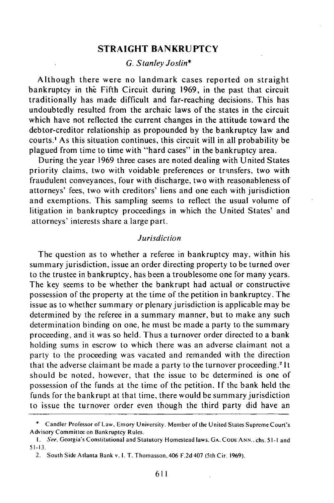## **STRAIGHT BANKRUPTCY**

# *G. Stanley Joslin\**

Although there were no landmark cases reported on straight bankruptcy in the Fifth Circuit during 1969, in the past that circuit traditionally has made difficult and far-reaching decisions. This has undoubtedly resulted from the archaic laws of the states in the circuit which have not reflected the current changes in the attitude toward the debtor-creditor relationship as propounded by the bankruptcy law and courts.' As this situation continues, this circuit will in all probability be plagued from time to time with "hard cases" in the bankruptcy area.

During the year 1969 three cases are noted dealing with United States priority claims, two with voidable preferences or transfers, two with fraudulent conveyances, four with discharge, two with reasonableness of attorneys' fees, two with creditors' liens and one each with jurisdiction and exemptions. This sampling seems to reflect the usual volume of litigation in bankruptcy proceedings in which the United States' and attorneys' interests share a large part.

#### *Jurisdiction*

The question as to whether a referee in bankruptcy may, within his summary jurisdiction, issue an order directing property to be turned over to the trustee in bankruptcy, has been a troublesome one for many years. The key seems to be whether the bankrupt had actual or constructive possession of the property at the time of the petition in bankruptcy. The issue as to whether summary or plenary jurisdiction is applicable may be determined by the referee in a summary manner, but to make any such determination binding on one, he must be made a party to the summary proceeding, and it was so held. Thus a turnover order directed to a bank holding sums in escrow to which there was an adverse claimant not a party to the proceeding was vacated and remanded with the direction that the adverse claimant be made a party to the turnover proceeding. 2 It should be noted, however, that the issue to be determined is one of possession of the funds at the time of the petition. If the bank held the funds for the bankrupt at that time, there would be summary jurisdiction to issue the turnover order even though the third party did have an

<sup>\*</sup> Candler Professor of Law, Emory University. Member of the United States Supreme Court's Advisory Committee on Bankruptcy Rules.

*I.* See, Georgia's Constitutional and Statutory Homestead laws. GA. CODE **ANN.,** chs. 5 **1-I** and 51-13.

<sup>2.</sup> South Side Atlanta Bank v. **1.** *T.* Thomasson, 406 F.2d 407 (5th Cir. 1969).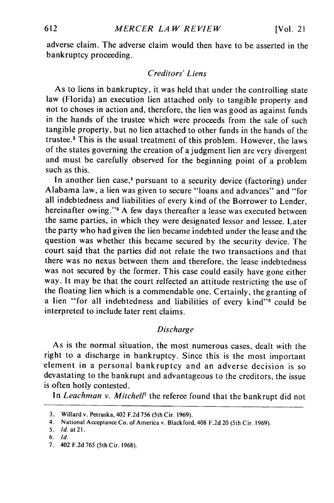adverse claim. The adverse claim would then have to be asserted in the bankruptcy proceeding.

# *Creditors' Liens*

As to liens in bankruptcy, it was held that under the controlling state law (Florida) an execution lien attached only to tangible property and not to choses in action and, therefore, the lien was good as against funds in the hands of the trustee which were proceeds from the sale of such tangible property, but no lien attached to other funds in the hands of the trustee.3 This is the usual treatment of this problem. However, the laws of the states governing the creation of a judgment lien are very divergent and must be carefully observed for the beginning point of a problem such as this.

In another lien case,<sup>4</sup> pursuant to a security device (factoring) under Alabama law, a lien was given to secure "loans and advances" and "for all indebtedness and liabilities of every kind of the Borrower to Lender, hereinafter owing."<sup>5</sup> A few days thereafter a lease was executed between the same parties, in which they were designated lessor and lessee. Later the party who had given the lien became indebted under the lease and the question was whether this became secured by the security device. The court said that the parties did not relate the two transactions and that there was no nexus between them and therefore, the lease indebtedness was not secured by the former. This case could easily have gone either way. It may be that the court relfected an attitude restricting the use of the floating lien which is a commendable one. Certainly, the granting of a lien "for all indebtedness and liabilities of every kind"<sup>6</sup> could be interpreted to include later rent claims.

#### *Discharge*

As is the normal situation, the most numerous cases, dealt with the right to a discharge in bankruptcy. Since this is the most important element in a personal bankruptcy and an adverse decision is so devastating to the bankrupt and advantageous to the creditors, the issue is often hotly contested.

In *Leachman v. MitchelF* the referee found that the bankrupt did not

<sup>3.</sup> Willardv. Petruska,402 F.2d 756 (5thCir. 1969).

<sup>4.</sup> National Acceptance Co. of America v. Blackford, 408 **F.2d** 20 (5th Cir. **1969).**

**<sup>5.</sup>** Id. **at21.**

<sup>6.</sup> Id.

<sup>7.</sup> 402 **F.2d** 765 (5th Cir. **1968).**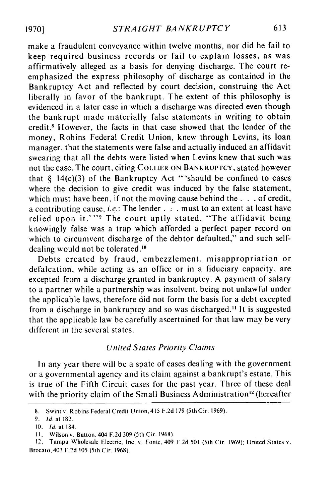make a fraudulent conveyance within twelve months, nor did he fail to keep required business records or fail to explain losses, as was affirmatively alleged as a basis for denying discharge. The court reemphasized the express philosophy of discharge as contained in the Bankruptcy Act and reflected by court decision, construing the Act liberally in favor of the bankrupt. The extent of this philosophy is evidenced in a later case in which a discharge was directed even though the bankrupt made materially false statements in writing to obtain credit **.** However, the facts in that case showed that the lender of the money, Robins Federal Credit Union, knew through Levins, its loan manager, that the statements were false and actually induced an affidavit swearing that all the debts were listed when Levins knew that such was not the case. The court, citing COLLIER **ON** BANKRUPTCY, stated however that  $\S$  14(c)(3) of the Bankruptcy Act "'should be confined to cases where the decision to give credit was induced by the false statement, which must have been, if not the moving cause behind the **. . .** of credit, a contributing cause, *i.e.*: The lender.  $\therefore$  must to an extent at least have relied upon it.'"<sup>9</sup> The court aptly stated, "The affidavit being knowingly false was a trap which afforded a perfect paper record on which to circumvent discharge of the debtor defaulted," and such selfdealing would not be tolerated.<sup>10</sup>

Debts created by fraud, embezzlement, misappropriation or defalcation, while acting as an office or in a fiduciary capacity, are excepted from a discharge granted in bankruptcy. A payment of salary to a partner while a partnership was insolvent, being not unlawful under the applicable laws, therefore did not form the basis for a debt excepted from a discharge in bankruptcy and so was discharged." It is suggested that the applicable law be carefully ascertained for that law may be very different in the several states.

## *United States Priority* Claims

In any year there will be a spate of cases dealing with the government or a governmental agency and its claim against a bankrupt's estate. This is true of the Fifth Circuit cases for the past year. Three of these deal with the priority claim of the Small Business Administration<sup>12</sup> (hereafter

<sup>8.</sup> Swint v. Robins Federal Credit Union, 415 F.2d 179 (5th Cir. 1969).

<sup>9.</sup> **Id.** at 182.

<sup>10.</sup> Id. at 184.

**I1.** Wilson v. Button, 404 F.2d 309 (5th Cir. 1968).

<sup>12.</sup> Tampa Wholesale Electric, Inc. v. Fonte, 409 F.2d **501** (5th Cir. 1969); United States v. Brocato, 403 F.2d **105** (5th Cir. 1968).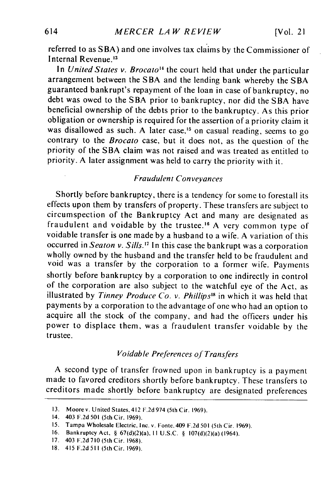referred to as SBA) and one involves tax claims by the Commissioner of Internal Revenue.<sup>13</sup>

In *United States v. Brocato<sup>14</sup>* the court held that under the particular arrangement between the SBA and the lending bank whereby the SBA guaranteed bankrupt's repayment of the loan in case of bankruptcy, no debt was owed to the SBA prior to bankruptcy, nor did the SBA have beneficial ownership of the debts prior to the bankruptcy. As this prior obligation or ownership is required for the assertion of a priority claim it was disallowed as such. A later case,<sup>15</sup> on casual reading, seems to go contrary to the *Brocato* case, but it does not, as the question of the priority of the SBA claim was not raised and was treated as entitled to priority. A later assignment was held to carry the priority with it.

## *Fraudulent Conveyances*

Shortly before bankruptcy, there is a tendency for some to forestall its effects upon them by transfers of property. These transfers are subject to circumspection of the Bankruptcy Act and many are designated as fraudulent and voidable by the trustee.<sup>16</sup> A very common type of voidable transfer is one made by a husband to a wife. A variation of this occurred in *Seaton v. Sills.'7* In this case the bankrupt was a corporation wholly owned by the husband and the transfer held to be fraudulent and void was a transfer by the corporation to a former wife. Payments shortly before bankruptcy by a corporation to one indirectly in control of the corporation are also subject to the watchful eye of the Act, as illustrated by *Tinney Produce Co. v. Phillips"* in which it was held that payments by a corporation to the advantage of one who had an option to acquire all the stock of the company, and had the officers under his power to displace them, was a fraudulent transfer voidable by the trustee.

## *Voidable Preferences of Transfers*

A second type of transfer frowned upon in bankruptcy is a payment made to favored creditors shortly before bankruptcy. These transfers to creditors made shortly before bankruptcy are designated preferences

<sup>13.</sup> Moorev. United States, 412 F.2d974 (5thCir. 1969).

<sup>14. 403</sup> F.2d 501 (5th Cir. 1969).

**<sup>15.</sup>** Tampa Wholesale Electric, Inc. v. Fonte, 409 F.2d 501 (5th Cir. 1969).

<sup>16.</sup> Bankruptcy Act, § 67(d)(2)(a), **II** U.S.C. § 107(d)(2)(a) (1964).

<sup>17. 403</sup> F.2d710(5thCir. 1968).

<sup>18. 415</sup> F.2d 511 (5thCir. 1969).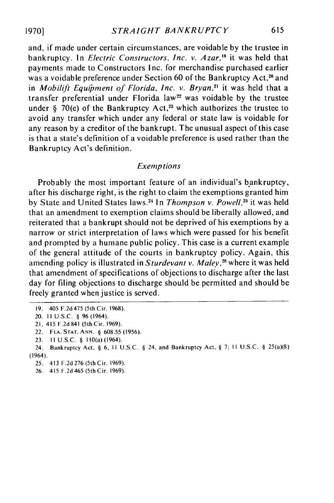and, if made under certain circumstances, are voidable by the trustee in bankruptcy. In *Electric Constructors, Inc. v. Azar,'8* it was held that payments made to Constructors Inc. for merchandise purchased earlier was a voidable preference under Section 60 of the Bankruptcy Act,<sup>20</sup> and in *Mobilift* Equipment of *Florida, Inc. v. Bryan,"'* it was held that a transfer preferential under Florida law<sup>22</sup> was voidable by the trustee under  $\delta$  70(e) of the Bankruptcy Act,<sup>23</sup> which authorizes the trustee to avoid any transfer which under any federal or state law is voidable for any reason by a creditor of the bankrupt. The unusual aspect of this case is that a state's definition of a voidable preference is used rather than the Bankruptcy Act's definition.

#### Exemptions

Probably the most important feature of an individual's bankruptcy, after his discharge right, is the right to claim the exemptions granted him by State and United States laws.<sup>24</sup> In *Thompson v. Powell*,<sup>25</sup> it was held that an amendment to exemption claims should be liberally allowed, and reiterated that a bankrupt should not be deprived of his exemptions by a narrow or strict interpretation of laws which were passed for his benefit and prompted by a humane public policy. This case is a current example of the general attitude of the courts in bankruptcy policy. Again, this amending policy is illustrated in *Sturdevant v. Maley*,<sup>26</sup> where it was held that amendment of specifications of objections to discharge after the last day for filing objections to discharge should be permitted and should be freely granted when justice is served.

<sup>19. 405</sup> F.2d 475 (5th Cir. 1968).

<sup>20.</sup> II U.S.C. § 96 (1964).

<sup>21. 415</sup> F.2d 841 (5thCir. 1969).

<sup>22.</sup> **FLA. STAT. ANN.** § 608.55 (1956).

<sup>23.</sup> II U.S.C. § 110(a) (1964).

<sup>24.</sup> Bankruptcy Act, § 6, II U.S.C. § 24, and Bankruptcy Act, § **7;** II U.S.C. § 25(a)(8) (1964).

<sup>25. 413</sup> F.2d 276 (5th Cir. 1969).

<sup>26. 415</sup> F.2d 465 (5th Cir. 1969).